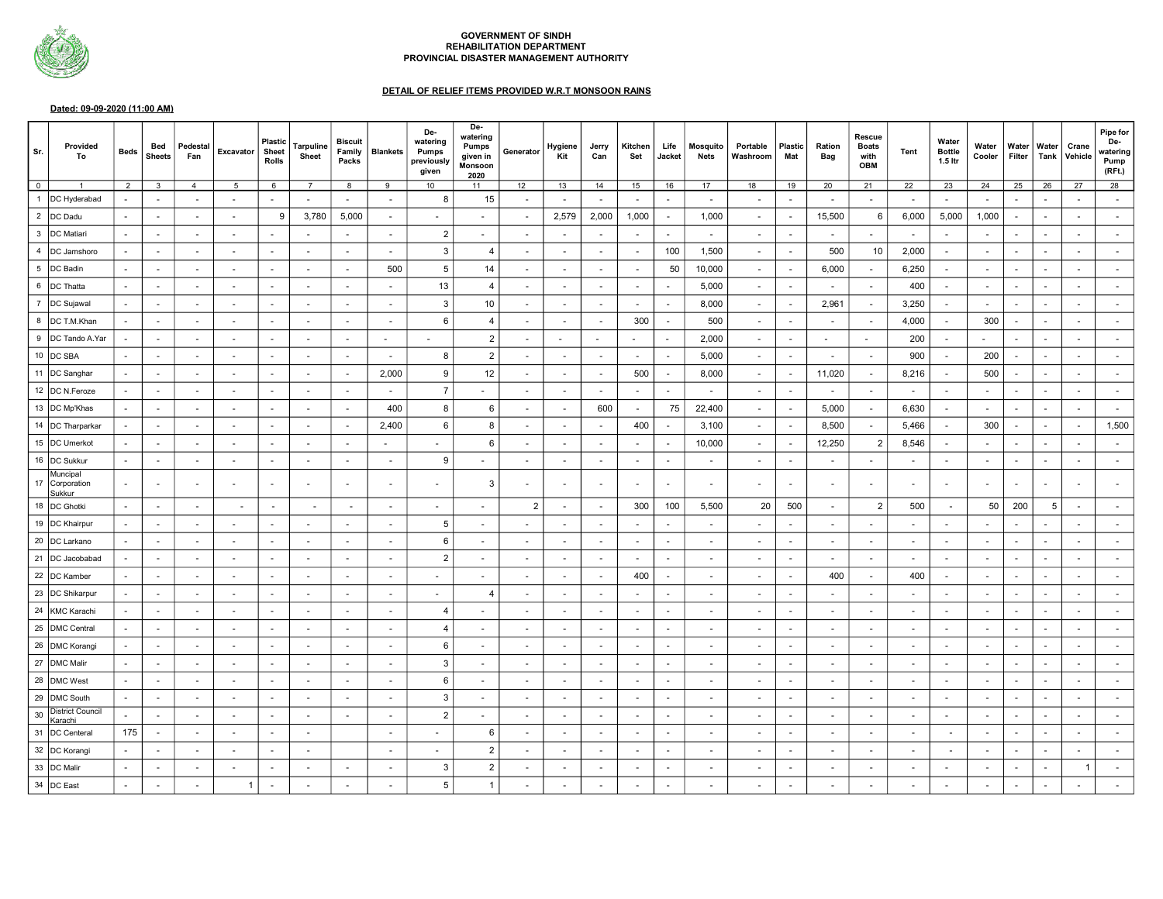

## GOVERNMENT OF SINDH REHABILITATION DEPARTMENT PROVINCIAL DISASTER MANAGEMENT AUTHORITY

## DETAIL OF RELIEF ITEMS PROVIDED W.R.T MONSOON RAINS

## Dated: 09-09-2020 (11:00 AM)

| Sr.            | Provided<br>To                       | <b>Beds</b>   | Bed<br><b>Sheets</b>     | Pedestal<br>Fan          | Excavator                | <b>Plastic</b><br>Sheet<br><b>Rolls</b> | <b>Tarpuline</b><br>Sheet | <b>Biscuit</b><br>Family<br>Packs | <b>Blankets</b>          | De-<br>watering<br><b>Pumps</b><br>previously<br>given | De-<br>watering<br>Pumps<br>given in<br>Monsoon<br>2020 | Generator                | Hygiene<br>Kit           | Jerry<br>Can             | Kitchen<br>Set | Life<br>Jacket           | <b>Mosquito</b><br><b>Nets</b> | Portable<br>Washroom     | <b>Plastic</b><br>Mat    | Ration<br>Bag            | <b>Rescue</b><br><b>Boats</b><br>with<br>OBM | Tent  | Water<br><b>Bottle</b><br>1.5 ltr | Water<br>Cooler | Water<br>Filter | Water<br>Tank | Crane<br>Vehicle | Pipe for<br>De-<br>watering<br>Pump<br>(RFt.) |
|----------------|--------------------------------------|---------------|--------------------------|--------------------------|--------------------------|-----------------------------------------|---------------------------|-----------------------------------|--------------------------|--------------------------------------------------------|---------------------------------------------------------|--------------------------|--------------------------|--------------------------|----------------|--------------------------|--------------------------------|--------------------------|--------------------------|--------------------------|----------------------------------------------|-------|-----------------------------------|-----------------|-----------------|---------------|------------------|-----------------------------------------------|
| $\overline{0}$ |                                      | $\mathcal{D}$ | $\mathbf{r}$             | $\boldsymbol{\Lambda}$   | 5                        | 6                                       | $\overline{7}$            | я.                                | $\alpha$                 | 10                                                     | 11                                                      | 12                       | 13                       | 14                       | 15             | 16                       | 17                             | 18                       | 19                       | 20                       | 21                                           | 22    | 23                                | 24              | 25              | 26            | 27               | 28                                            |
|                | DC Hyderabad                         |               | $\overline{a}$           |                          |                          |                                         | $\overline{\phantom{a}}$  |                                   |                          | 8                                                      | 15                                                      |                          | $\sim$                   | $\sim$                   | $\sim$         | $\sim$                   | $\sim$                         | $\blacksquare$           |                          | $\sim$                   |                                              |       | $\sim$                            |                 |                 |               |                  |                                               |
|                | 2  DC Dadu                           |               | $\sim$                   | ÷.                       | $\overline{\phantom{a}}$ | 9                                       | 3,780                     | 5,000                             | $\sim$                   |                                                        |                                                         |                          | 2,579                    | 2,000                    | 1,000          | $\sim$                   | 1,000                          | $\sim$                   | $\sim$                   | 15,500                   | 6                                            | 6,000 | 5,000                             | 1,000           |                 |               |                  |                                               |
|                | 3  DC Matiari                        |               | $\overline{\phantom{a}}$ |                          |                          |                                         |                           |                                   | $\overline{\phantom{a}}$ | 2                                                      |                                                         |                          | $\overline{\phantom{a}}$ |                          | $\sim$         | $\sim$                   | $\sim$                         | $\sim$                   |                          | $\blacksquare$           |                                              |       |                                   |                 |                 |               |                  |                                               |
|                | 4  DC Jamshoro                       |               | $\sim$                   |                          | $\sim$                   |                                         | $\sim$                    |                                   | $\overline{\phantom{a}}$ | 3                                                      | -4                                                      |                          | $\sim$                   | $\overline{\phantom{a}}$ | $\sim$         | 100                      | 1,500                          | $\sim$                   |                          | 500                      | 10                                           | 2,000 | $\sim$                            |                 |                 |               |                  |                                               |
|                | 5  DC Badin                          |               | $\overline{\phantom{a}}$ | $\sim$                   | $\overline{\phantom{a}}$ |                                         | $\overline{\phantom{a}}$  |                                   | 500                      | 5                                                      | 14                                                      | $\overline{\phantom{a}}$ | $\sim$                   | $\sim$                   | $\sim$         | 50                       | 10,000                         | $\sim$                   | $\sim$                   | 6,000                    | $\sim$                                       | 6,250 | $\sim$                            |                 |                 |               |                  |                                               |
|                | 6  DC Thatta                         |               | $\overline{\phantom{a}}$ | $\sim$                   | $\overline{\phantom{a}}$ |                                         | $\sim$                    |                                   | $\sim$                   | 13                                                     | $\overline{4}$                                          | $\overline{a}$           | $\sim$                   | $\sim$                   | $\sim$         | $\sim$                   | 5,000                          | $\sim$                   | $\overline{\phantom{a}}$ | $\sim$                   | $\sim$                                       | 400   | $\overline{\phantom{a}}$          |                 |                 |               |                  |                                               |
|                | DC Sujawal                           |               | $\sim$                   | $\overline{\phantom{a}}$ | $\sim$                   |                                         | $\overline{\phantom{a}}$  |                                   | $\sim$                   | 3                                                      | 10                                                      |                          | $\sim$                   | $\sim$                   | $\sim$         | $\sim$                   | 8,000                          | $\sim$                   | $\overline{\phantom{a}}$ | 2,961                    | $\sim$                                       | 3,250 | $\overline{\phantom{a}}$          |                 |                 |               |                  |                                               |
| 8              | DC T.M.Khan                          |               | $\overline{\phantom{a}}$ | $\overline{\phantom{a}}$ | $\blacksquare$           |                                         | $\sim$                    |                                   | $\overline{\phantom{a}}$ | 6                                                      | $\overline{4}$                                          |                          | $\sim$                   | $\sim$                   | 300            | $\sim$                   | 500                            | $\overline{\phantom{a}}$ |                          | $\overline{\phantom{a}}$ | $\overline{\phantom{a}}$                     | 4,000 | $\overline{\phantom{a}}$          | 300             |                 |               |                  |                                               |
| 9              | DC Tando A.Yar                       |               | $\sim$                   | $\overline{\phantom{a}}$ | $\sim$                   |                                         | $\sim$                    |                                   | $\sim$                   |                                                        | $\overline{2}$                                          |                          | $\sim$                   | $\overline{a}$           | $\sim$         | $\sim$                   | 2,000                          | $\sim$                   |                          | $\sim$                   | $\sim$                                       | 200   | $\sim$                            |                 |                 |               |                  |                                               |
|                | 10  DC SBA                           |               | $\overline{\phantom{a}}$ | $\sim$                   | $\sim$                   |                                         | $\blacksquare$            |                                   | $\sim$                   | 8                                                      | $\overline{2}$                                          |                          | $\sim$                   |                          | $\sim$         | $\sim$                   | 5,000                          | $\sim$                   |                          | $\blacksquare$           |                                              | 900   |                                   | 200             |                 |               |                  |                                               |
|                | DC Sanghar                           |               | $\overline{\phantom{a}}$ | $\overline{a}$           | $\overline{\phantom{a}}$ |                                         | $\overline{a}$            |                                   | 2,000                    | 9                                                      | 12                                                      |                          |                          | $\overline{\phantom{a}}$ | 500            | $\sim$                   | 8,000                          | $\overline{\phantom{a}}$ |                          | 11,020                   |                                              | 8,216 | $\blacksquare$                    | 500             |                 |               |                  |                                               |
|                | 12  DC N.Feroze                      |               | $\overline{\phantom{a}}$ | $\sim$                   | $\sim$                   |                                         | $\overline{a}$            |                                   | $\sim$                   | $\overline{7}$                                         |                                                         |                          |                          | $\sim$                   | $\sim$         | $\sim$                   | $\sim$                         | $\sim$                   |                          | $\sim$                   |                                              |       | $\sim$                            |                 |                 |               |                  |                                               |
|                | 13  DC Mp'Khas                       |               | $\sim$                   | $\sim$                   | $\sim$                   |                                         | $\overline{a}$            |                                   | 400                      | 8                                                      | 6                                                       |                          | $\sim$                   | 600                      | $\sim$         | 75                       | 22,400                         | $\overline{\phantom{a}}$ |                          | 5,000                    | $\sim$                                       | 6,630 | $\sim$                            |                 |                 |               |                  |                                               |
|                | 14   DC Tharparkar                   |               | $\overline{\phantom{a}}$ | $\overline{\phantom{a}}$ | $\sim$                   |                                         | $\blacksquare$            |                                   | 2,400                    | 6                                                      | 8                                                       |                          | $\sim$                   | $\sim$                   | 400            | $\sim$                   | 3,100                          | $\sim$                   |                          | 8,500                    |                                              | 5,466 | $\overline{\phantom{a}}$          | 300             |                 |               |                  | 1,500                                         |
|                | 15  DC Umerkot                       |               | $\overline{\phantom{a}}$ | $\overline{\phantom{a}}$ | $\overline{\phantom{a}}$ |                                         | $\overline{a}$            |                                   | $\overline{\phantom{a}}$ |                                                        | 6                                                       |                          |                          | $\overline{\phantom{a}}$ | $\blacksquare$ | $\sim$                   | 10,000                         | $\overline{\phantom{a}}$ |                          | 12,250                   | $\overline{2}$                               | 8,546 | $\blacksquare$                    |                 |                 |               |                  |                                               |
|                | 16  DC Sukkur                        |               | $\overline{\phantom{a}}$ | $\blacksquare$           | $\overline{\phantom{a}}$ |                                         | $\blacksquare$            |                                   | $\sim$                   | 9                                                      |                                                         |                          | $\sim$                   | $\overline{\phantom{a}}$ | $\sim$         | $\sim$                   | $\sim$                         | $\blacksquare$           |                          | $\overline{\phantom{a}}$ |                                              |       | $\blacksquare$                    |                 |                 |               |                  |                                               |
|                | Muncipal<br>17 Corporation<br>Sukkur |               |                          |                          |                          |                                         | $\sim$                    |                                   |                          |                                                        | 3                                                       |                          |                          |                          | $\blacksquare$ | $\sim$                   | $\sim$                         | $\blacksquare$           |                          | $\overline{a}$           |                                              |       |                                   |                 |                 |               |                  |                                               |
|                | 18  DC Ghotki                        |               |                          |                          |                          |                                         |                           |                                   |                          |                                                        |                                                         | 2                        |                          | $\overline{\phantom{a}}$ | 300            | 100                      | 5,500                          | 20                       | 500                      | $\overline{\phantom{a}}$ | $\overline{2}$                               | 500   |                                   | 50              | 200             | 5             |                  |                                               |
|                | 19  DC Khairpur                      |               | $\sim$                   |                          | $\overline{\phantom{a}}$ |                                         | $\overline{\phantom{a}}$  |                                   | $\overline{\phantom{a}}$ | 5                                                      |                                                         |                          |                          |                          |                | $\overline{\phantom{a}}$ | $\sim$                         |                          |                          | $\overline{\phantom{a}}$ |                                              |       |                                   |                 |                 |               |                  |                                               |
|                | 20  DC Larkano                       |               | $\sim$                   | $\sim$                   | $\sim$                   |                                         | $\sim$                    |                                   | $\overline{a}$           | 6                                                      |                                                         |                          |                          | $\sim$                   | $\sim$         | $\sim$                   | $\sim$                         | $\sim$                   |                          | $\sim$                   |                                              |       | $\sim$                            |                 |                 |               |                  |                                               |
|                | 21  DC Jacobabad                     |               | $\overline{\phantom{a}}$ | $\sim$                   | $\sim$                   |                                         | $\overline{\phantom{a}}$  |                                   | $\overline{\phantom{a}}$ | $\mathcal{P}$                                          |                                                         |                          | $\sim$                   | $\overline{a}$           | $\sim$         | $\sim$                   | $\sim$                         | $\overline{\phantom{a}}$ |                          | $\overline{\phantom{a}}$ | $\overline{a}$                               |       | $\sim$                            |                 |                 |               |                  |                                               |
|                | 22   DC Kamber                       |               | $\overline{\phantom{a}}$ |                          |                          |                                         | $\overline{a}$            |                                   |                          |                                                        |                                                         |                          |                          |                          | 400            | $\sim$                   | $\blacksquare$                 | $\overline{a}$           |                          | 400                      |                                              | 400   | $\sim$                            |                 |                 |               |                  |                                               |
|                | 23  DC Shikarpur                     |               | $\overline{\phantom{a}}$ | $\overline{\phantom{a}}$ | $\blacksquare$           |                                         | $\blacksquare$            |                                   | $\overline{\phantom{a}}$ |                                                        | $\overline{4}$                                          |                          |                          |                          | $\blacksquare$ | $\overline{\phantom{a}}$ | $\sim$                         | $\overline{\phantom{a}}$ |                          | $\blacksquare$           |                                              |       | $\sim$                            |                 |                 |               |                  |                                               |
|                | 24   KMC Karachi                     |               | $\sim$                   | $\sim$                   | $\sim$                   |                                         | $\sim$                    |                                   | $\sim$                   | $\Delta$                                               |                                                         |                          | $\sim$                   | $\overline{a}$           | $\sim$         | $\sim$                   | $\sim$                         | $\overline{\phantom{a}}$ |                          | $\overline{\phantom{a}}$ |                                              |       | $\sim$                            |                 |                 |               |                  |                                               |
| 25             | DMC Central                          |               | $\sim$                   | $\sim$                   | $\overline{\phantom{a}}$ | $\overline{\phantom{a}}$                | $\sim$                    |                                   | $\sim$                   | Δ                                                      |                                                         | $\overline{\phantom{a}}$ | $\sim$                   | $\sim$                   | $\sim$         | $\sim$                   | $\sim$                         | $\sim$                   | $\overline{\phantom{a}}$ | $\overline{\phantom{a}}$ | $\sim$                                       |       | $\overline{\phantom{a}}$          |                 |                 |               |                  |                                               |
| 26             | <b>DMC</b> Korangi                   |               | $\blacksquare$           | $\blacksquare$           | $\blacksquare$           |                                         | $\blacksquare$            |                                   | $\overline{\phantom{a}}$ | 6                                                      |                                                         |                          | $\sim$                   | $\overline{\phantom{a}}$ | $\sim$         | $\sim$                   | $\sim$                         | $\overline{\phantom{a}}$ |                          | $\overline{\phantom{a}}$ |                                              |       | $\blacksquare$                    |                 |                 |               |                  |                                               |
| 27             | <b>DMC</b> Malir                     |               | $\overline{\phantom{a}}$ | $\overline{\phantom{a}}$ | $\blacksquare$           |                                         | $\blacksquare$            |                                   | $\overline{\phantom{a}}$ | 3                                                      |                                                         |                          | $\sim$                   | $\sim$                   | $\sim$         | $\sim$                   | $\sim$                         | $\overline{\phantom{a}}$ |                          | $\overline{\phantom{a}}$ |                                              |       | $\blacksquare$                    |                 |                 |               |                  |                                               |
| 28             | <b>DMC</b> West                      |               | $\overline{a}$           | $\sim$                   | $\overline{\phantom{a}}$ |                                         | $\overline{\phantom{a}}$  |                                   | $\sim$                   | 6                                                      |                                                         |                          | $\sim$                   |                          | $\sim$         | $\overline{\phantom{a}}$ | $\sim$                         | $\overline{\phantom{a}}$ |                          | $\overline{\phantom{a}}$ |                                              |       | $\overline{\phantom{a}}$          |                 |                 |               |                  |                                               |
|                | 29   DMC South                       |               | $\overline{\phantom{a}}$ | $\overline{\phantom{a}}$ | $\overline{\phantom{a}}$ |                                         | $\blacksquare$            |                                   | $\overline{\phantom{a}}$ | 3                                                      |                                                         |                          | $\sim$                   |                          | $\sim$         | $\overline{\phantom{a}}$ | $\sim$                         | $\overline{\phantom{a}}$ |                          | $\sim$                   |                                              |       | $\overline{\phantom{a}}$          |                 |                 |               |                  |                                               |
| 30             | <b>District Council</b><br>Karachi   |               | ÷.                       |                          | $\sim$                   |                                         | $\sim$                    |                                   | ÷,                       | $\overline{2}$                                         |                                                         |                          |                          |                          | $\sim$         |                          | $\sim$                         | $\sim$                   |                          | $\sim$                   |                                              |       | $\sim$                            |                 |                 |               |                  |                                               |
|                | 31   DC Centeral                     | 175           | $\sim$                   | $\sim$                   | $\sim$                   |                                         | $\overline{a}$            |                                   | $\overline{\phantom{a}}$ |                                                        | 6                                                       |                          |                          |                          | $\sim$         | $\sim$                   | $\sim$                         | $\sim$                   |                          | $\sim$                   |                                              |       | $\sim$                            |                 |                 |               |                  |                                               |
|                | 32   DC Korangi                      |               | $\overline{\phantom{a}}$ |                          | $\blacksquare$           |                                         |                           |                                   | $\overline{\phantom{a}}$ |                                                        | $\overline{2}$                                          |                          |                          |                          | $\sim$         |                          | $\sim$                         | $\overline{\phantom{a}}$ |                          |                          |                                              |       |                                   |                 |                 |               |                  |                                               |
|                | 33  DC Malir                         |               |                          |                          |                          |                                         |                           |                                   | $\overline{\phantom{a}}$ | 3                                                      | $\overline{2}$                                          |                          |                          |                          | $\sim$         |                          | $\sim$                         | $\blacksquare$           |                          |                          |                                              |       |                                   |                 |                 |               |                  |                                               |
|                | 34  DC East                          |               |                          |                          | -1                       |                                         |                           |                                   |                          | 5                                                      |                                                         |                          |                          |                          |                |                          |                                |                          |                          |                          |                                              |       |                                   |                 |                 |               |                  |                                               |